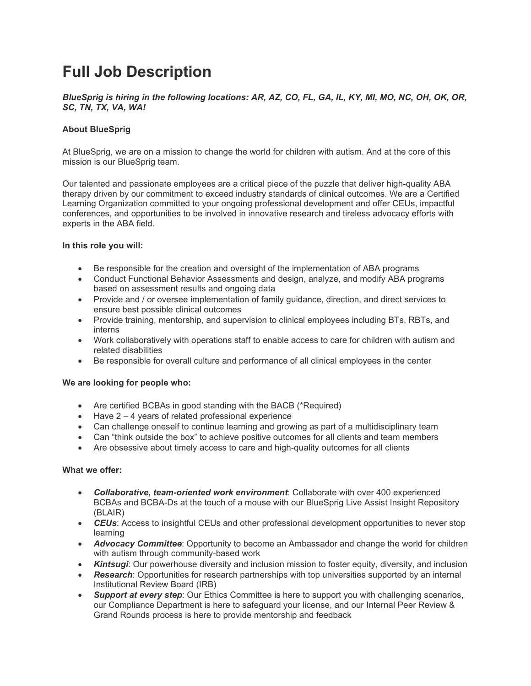# **Full Job Description**

*BlueSprig is hiring in the following locations: AR, AZ, CO, FL, GA, IL, KY, MI, MO, NC, OH, OK, OR, SC, TN, TX, VA, WA!*

### **About BlueSprig**

At BlueSprig, we are on a mission to change the world for children with autism. And at the core of this mission is our BlueSprig team.

Our talented and passionate employees are a critical piece of the puzzle that deliver high-quality ABA therapy driven by our commitment to exceed industry standards of clinical outcomes. We are a Certified Learning Organization committed to your ongoing professional development and offer CEUs, impactful conferences, and opportunities to be involved in innovative research and tireless advocacy efforts with experts in the ABA field.

#### **In this role you will:**

- Be responsible for the creation and oversight of the implementation of ABA programs
- Conduct Functional Behavior Assessments and design, analyze, and modify ABA programs based on assessment results and ongoing data
- Provide and / or oversee implementation of family guidance, direction, and direct services to ensure best possible clinical outcomes
- Provide training, mentorship, and supervision to clinical employees including BTs, RBTs, and interns
- Work collaboratively with operations staff to enable access to care for children with autism and related disabilities
- Be responsible for overall culture and performance of all clinical employees in the center

#### **We are looking for people who:**

- Are certified BCBAs in good standing with the BACB (\*Required)
- Have 2 4 years of related professional experience
- Can challenge oneself to continue learning and growing as part of a multidisciplinary team
- Can "think outside the box" to achieve positive outcomes for all clients and team members
- Are obsessive about timely access to care and high-quality outcomes for all clients

#### **What we offer:**

- *Collaborative, team-oriented work environment*: Collaborate with over 400 experienced BCBAs and BCBA-Ds at the touch of a mouse with our BlueSprig Live Assist Insight Repository (BLAIR)
- *CEUs*: Access to insightful CEUs and other professional development opportunities to never stop learning
- *Advocacy Committee*: Opportunity to become an Ambassador and change the world for children with autism through community-based work
- *Kintsugi*: Our powerhouse diversity and inclusion mission to foster equity, diversity, and inclusion
- *Research*: Opportunities for research partnerships with top universities supported by an internal Institutional Review Board (IRB)
- *Support at every step*: Our Ethics Committee is here to support you with challenging scenarios, our Compliance Department is here to safeguard your license, and our Internal Peer Review & Grand Rounds process is here to provide mentorship and feedback